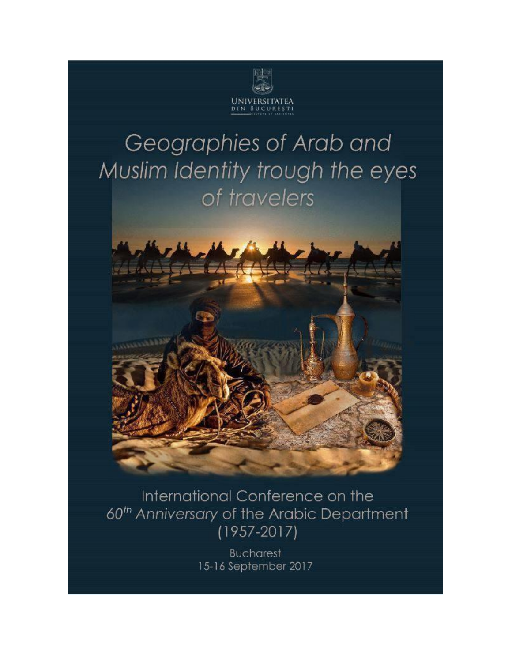

## Geographies of Arab and Muslim Identity trough the eyes of travelers



International Conference on the 60<sup>th</sup> Anniversary of the Arabic Department  $(1957 - 2017)$ 

> **Bucharest** 15-16 September 2017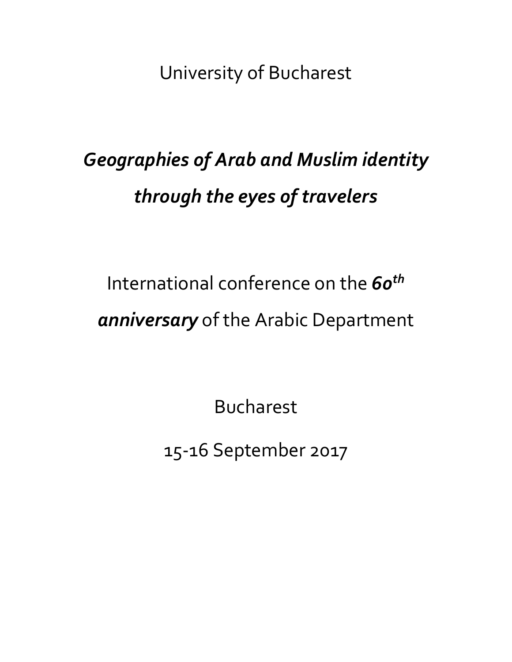University of Bucharest

## *Geographies of Arab and Muslim identity through the eyes of travelers*

# International conference on the *60th anniversary* of the Arabic Department

Bucharest

15-16 September 2017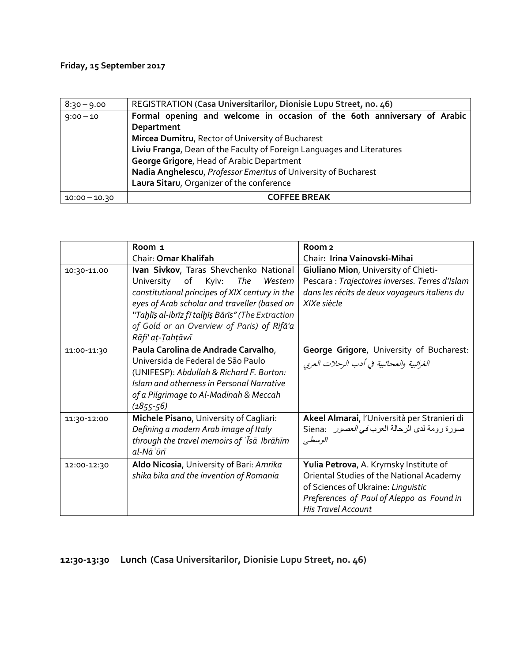#### **Friday, 15 September 2017**

| $8:30 - 9.00$   | REGISTRATION (Casa Universitarilor, Dionisie Lupu Street, no. 46)        |  |  |
|-----------------|--------------------------------------------------------------------------|--|--|
| $9:00 - 10$     | Formal opening and welcome in occasion of the 6oth anniversary of Arabic |  |  |
|                 | Department                                                               |  |  |
|                 | Mircea Dumitru, Rector of University of Bucharest                        |  |  |
|                 | Liviu Franga, Dean of the Faculty of Foreign Languages and Literatures   |  |  |
|                 | George Grigore, Head of Arabic Department                                |  |  |
|                 | Nadia Anghelescu, Professor Emeritus of University of Bucharest          |  |  |
|                 | Laura Sitaru, Organizer of the conference                                |  |  |
| $10:00 - 10.30$ | <b>COFFEE BREAK</b>                                                      |  |  |

|             | Room <sub>1</sub>                                                           | Room <sub>2</sub>                                                                                |
|-------------|-----------------------------------------------------------------------------|--------------------------------------------------------------------------------------------------|
|             | Chair: Omar Khalifah                                                        | Chair: Irina Vainovski-Mihai                                                                     |
| 10:30-11.00 | Ivan Sivkov, Taras Shevchenko National<br>The<br>Western                    | Giuliano Mion, University of Chieti-                                                             |
|             | of<br>Kyiv:<br>University<br>constitutional principes of XIX century in the | Pescara : Trajectoires inverses. Terres d'Islam<br>dans les récits de deux voyageurs italiens du |
|             | eyes of Arab scholar and traveller (based on                                | XIXe siècle                                                                                      |
|             | "Taḫlīṣ al-ibrīz fī talḫīṣ Bārīs" (The Extraction                           |                                                                                                  |
|             | of Gold or an Overview of Paris) of Rifa'a                                  |                                                                                                  |
|             | Rāfi' aṭ-Ṭahṭāwī                                                            |                                                                                                  |
| 11:00-11:30 | Paula Carolina de Andrade Carvalho,                                         | George Grigore, University of Bucharest:                                                         |
|             | Universida de Federal de São Paulo                                          | الغرائبية والعجائبية في أدب الرحلات العربي                                                       |
|             | (UNIFESP): Abdullah & Richard F. Burton:                                    |                                                                                                  |
|             | Islam and otherness in Personal Narrative                                   |                                                                                                  |
|             | of a Pilgrimage to Al-Madinah & Meccah                                      |                                                                                                  |
|             | $(1855 - 56)$                                                               |                                                                                                  |
| 11:30-12:00 | Michele Pisano, University of Cagliari:                                     | Akeel Almarai, l'Università per Stranieri di                                                     |
|             | Defining a modern Arab image of Italy                                       | صورة رومة لدى الرحالة العرب <i>في العصور</i> Siena:                                              |
|             | through the travel memoirs of 'Isa Ibrahim                                  | الوسطي                                                                                           |
|             | al-Nāʿūrī                                                                   |                                                                                                  |
| 12:00-12:30 | Aldo Nicosia, University of Bari: Amrika                                    | Yulia Petrova, A. Krymsky Institute of                                                           |
|             | shika bika and the invention of Romania                                     | Oriental Studies of the National Academy                                                         |
|             |                                                                             | of Sciences of Ukraine: Linguistic                                                               |
|             |                                                                             | Preferences of Paul of Aleppo as Found in                                                        |
|             |                                                                             | <b>His Travel Account</b>                                                                        |

### **12:30-13:30 Lunch (Casa Universitarilor, Dionisie Lupu Street, no. 46)**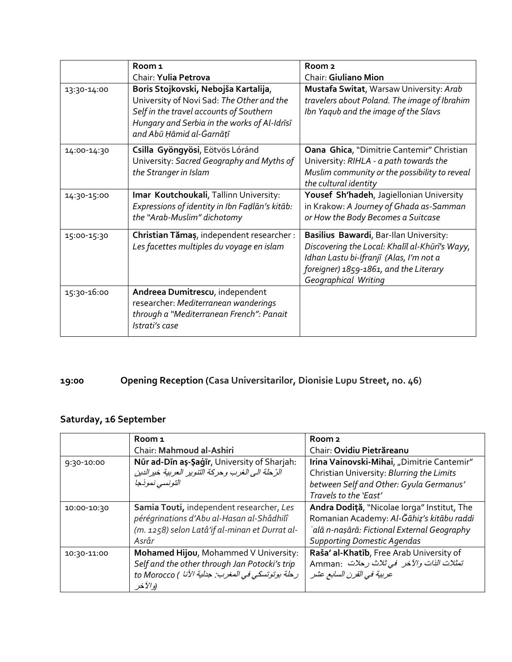|             | Room <sub>1</sub>                              | Room <sub>2</sub>                              |
|-------------|------------------------------------------------|------------------------------------------------|
|             | Chair: Yulia Petrova                           | <b>Chair: Giuliano Mion</b>                    |
| 13:30-14:00 | Boris Stojkovski, Nebojša Kartalija,           | Mustafa Switat, Warsaw University: Arab        |
|             | University of Novi Sad: The Other and the      | travelers about Poland. The image of Ibrahim   |
|             | Self in the travel accounts of Southern        | Ibn Yaqub and the image of the Slavs           |
|             | Hungary and Serbia in the works of Al-Idrīsī   |                                                |
|             | and Abū Ḥāmid al-Ġarnāṭī                       |                                                |
| 14:00-14:30 | Csilla Gyöngyösi, Eötvös Lóránd                | Oana Ghica, "Dimitrie Cantemir" Christian      |
|             | University: Sacred Geography and Myths of      | University: RIHLA - a path towards the         |
|             | the Stranger in Islam                          | Muslim community or the possibility to reveal  |
|             |                                                | the cultural identity                          |
| 14:30-15:00 | Imar Koutchoukali, Tallinn University:         | Yousef Sh'hadeh, Jagiellonian University       |
|             | Expressions of identity in Ibn Fadlan's kitab: | in Krakow: A Journey of Ghada as-Samman        |
|             | the "Arab-Muslim" dichotomy                    | or How the Body Becomes a Suitcase             |
| 15:00-15:30 | Christian Tămaș, independent researcher :      | Basilius Bawardi, Bar-Ilan University:         |
|             | Les facettes multiples du voyage en islam      | Discovering the Local: Khalīl al-Khūrī's Wayy, |
|             |                                                | Idhan Lastu bi-Ifranjī (Alas, I'm not a        |
|             |                                                | foreigner) 1859-1861, and the Literary         |
|             |                                                | Geographical Writing                           |
| 15:30-16:00 | Andreea Dumitrescu, independent                |                                                |
|             | researcher: Mediterranean wanderings           |                                                |
|             | through a "Mediterranean French": Panait       |                                                |
|             | Istrati's case                                 |                                                |

### **19:00 Opening Reception (Casa Universitarilor, Dionisie Lupu Street, no. 46)**

### **Saturday, 16 September**

|             | Room 1                                             | Room <sub>2</sub>                           |
|-------------|----------------------------------------------------|---------------------------------------------|
|             | Chair: Mahmoud al-Ashiri                           | Chair: Ovidiu Pietrăreanu                   |
| 9:30-10:00  | Nūr ad-Dīn aṣ-Ṣaġīr, University of Sharjah:        | Irina Vainovski-Mihai, "Dimitrie Cantemir"  |
|             | الرِّحلة الى الغرب وحركة التنوير العربية خير الدين | Christian University: Blurring the Limits   |
|             | التونسي نموذجا                                     | between Self and Other: Gyula Germanus'     |
|             |                                                    | Travels to the 'East'                       |
| 10:00-10:30 | Samia Touti, independent researcher, Les           | Andra Dodiță, "Nicolae Iorga" Institut, The |
|             | pérégrinations d'Abu al-Hasan al-Shâdhilî          | Romanian Academy: Al-Ğāhiz's kitābu raddi   |
|             | (m. 1258) selon Latâ'if al-minan et Durrat al-     | `alā n-nașārā: Fictional External Geography |
|             | Asrâr                                              | <b>Supporting Domestic Agendas</b>          |
| 10:30-11:00 | Mohamed Hijou, Mohammed V University:              | Raša' al-Khatīb, Free Arab University of    |
|             | Self and the other through Jan Potocki's trip      | تمثلات الذات والآخر في ثلاث رحلات Amman:    |
|             | رحلة بوتوتسكي في المغرب: جدلية الأنا ) to Morocco  | عربية في القرن السابع عشر                   |
|             | (و الآخر                                           |                                             |